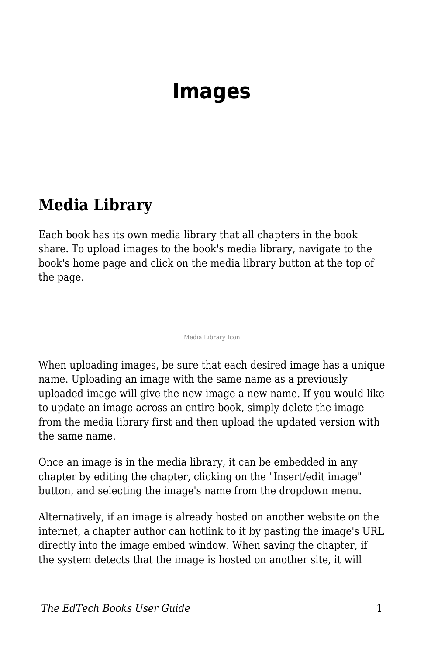# **Images**

#### **Media Library**

Each book has its own media library that all chapters in the book share. To upload images to the book's media library, navigate to the book's home page and click on the media library button at the top of the page.

Media Library Icon

When uploading images, be sure that each desired image has a unique name. Uploading an image with the same name as a previously uploaded image will give the new image a new name. If you would like to update an image across an entire book, simply delete the image from the media library first and then upload the updated version with the same name.

Once an image is in the media library, it can be embedded in any chapter by editing the chapter, clicking on the "Insert/edit image" button, and selecting the image's name from the dropdown menu.

Alternatively, if an image is already hosted on another website on the internet, a chapter author can hotlink to it by pasting the image's URL directly into the image embed window. When saving the chapter, if the system detects that the image is hosted on another site, it will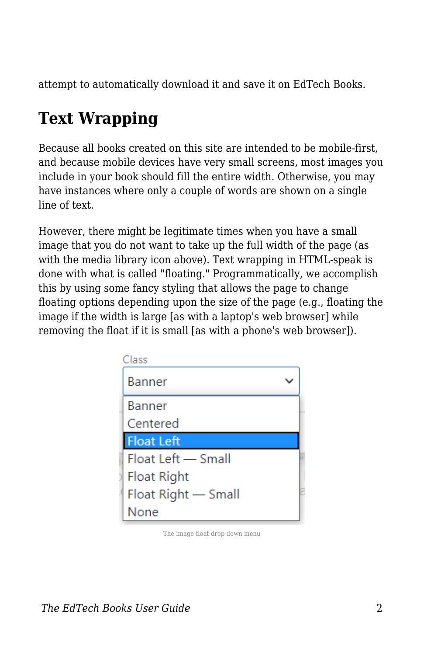attempt to automatically download it and save it on EdTech Books.

## **Text Wrapping**

Because all books created on this site are intended to be mobile-first, and because mobile devices have very small screens, most images you include in your book should fill the entire width. Otherwise, you may have instances where only a couple of words are shown on a single line of text.

However, there might be legitimate times when you have a small image that you do not want to take up the full width of the page (as with the media library icon above). Text wrapping in HTML-speak is done with what is called "floating." Programmatically, we accomplish this by using some fancy styling that allows the page to change floating options depending upon the size of the page (e.g., floating the image if the width is large [as with a laptop's web browser] while removing the float if it is small [as with a phone's web browser]).



The image float drop-down menu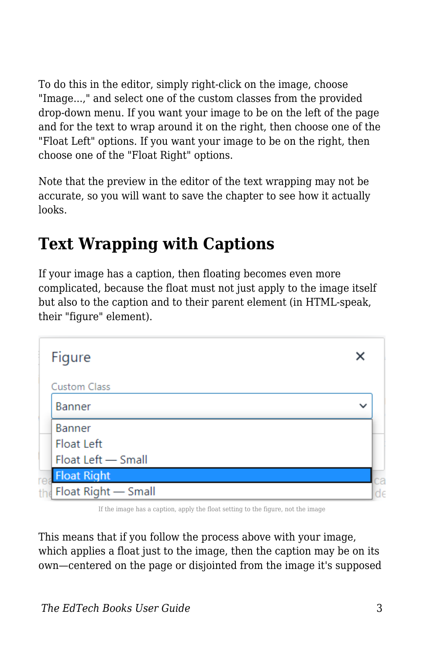To do this in the editor, simply right-click on the image, choose "Image...," and select one of the custom classes from the provided drop-down menu. If you want your image to be on the left of the page and for the text to wrap around it on the right, then choose one of the "Float Left" options. If you want your image to be on the right, then choose one of the "Float Right" options.

Note that the preview in the editor of the text wrapping may not be accurate, so you will want to save the chapter to see how it actually looks.

### **Text Wrapping with Captions**

If your image has a caption, then floating becomes even more complicated, because the float must not just apply to the image itself but also to the caption and to their parent element (in HTML-speak, their "figure" element).

|    | Figure              |              |    |
|----|---------------------|--------------|----|
|    | Custom Class        |              |    |
|    | Banner              | $\checkmark$ |    |
|    | Banner              |              |    |
|    | Float Left          |              |    |
|    | Float Left - Small  |              |    |
|    | <b>Float Right</b>  |              | C8 |
| th | Float Right - Small |              |    |

If the image has a caption, apply the float setting to the figure, not the image

This means that if you follow the process above with your image, which applies a float just to the image, then the caption may be on its own—centered on the page or disjointed from the image it's supposed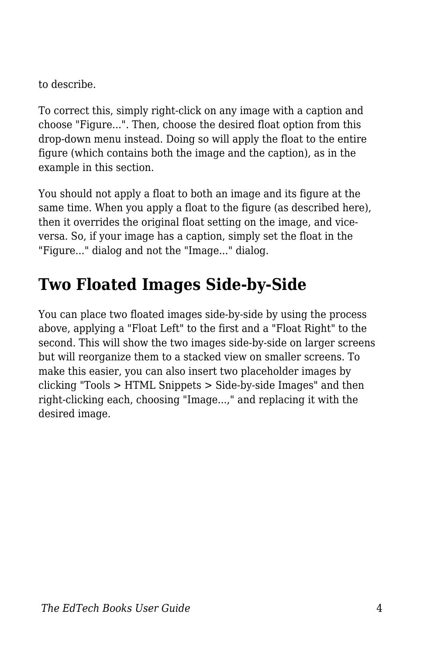to describe.

To correct this, simply right-click on any image with a caption and choose "Figure...". Then, choose the desired float option from this drop-down menu instead. Doing so will apply the float to the entire figure (which contains both the image and the caption), as in the example in this section.

You should not apply a float to both an image and its figure at the same time. When you apply a float to the figure (as described here), then it overrides the original float setting on the image, and viceversa. So, if your image has a caption, simply set the float in the "Figure..." dialog and not the "Image..." dialog.

### **Two Floated Images Side-by-Side**

You can place two floated images side-by-side by using the process above, applying a "Float Left" to the first and a "Float Right" to the second. This will show the two images side-by-side on larger screens but will reorganize them to a stacked view on smaller screens. To make this easier, you can also insert two placeholder images by clicking "Tools > HTML Snippets > Side-by-side Images" and then right-clicking each, choosing "Image...," and replacing it with the desired image.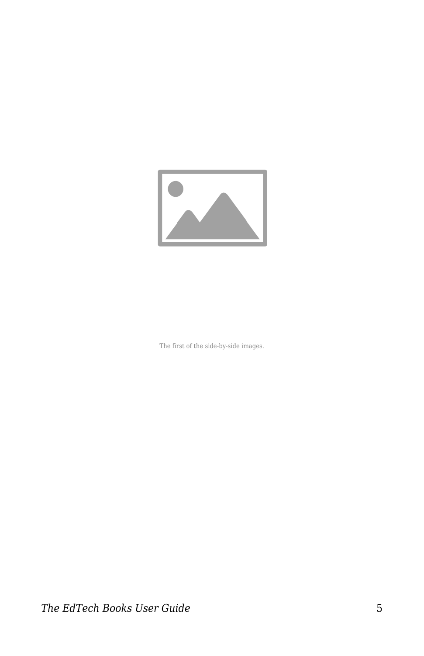

The first of the side-by-side images.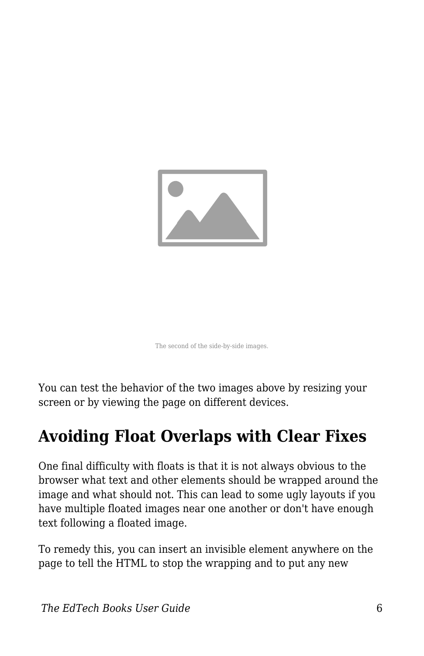

The second of the side-by-side images.

You can test the behavior of the two images above by resizing your screen or by viewing the page on different devices.

#### **Avoiding Float Overlaps with Clear Fixes**

One final difficulty with floats is that it is not always obvious to the browser what text and other elements should be wrapped around the image and what should not. This can lead to some ugly layouts if you have multiple floated images near one another or don't have enough text following a floated image.

To remedy this, you can insert an invisible element anywhere on the page to tell the HTML to stop the wrapping and to put any new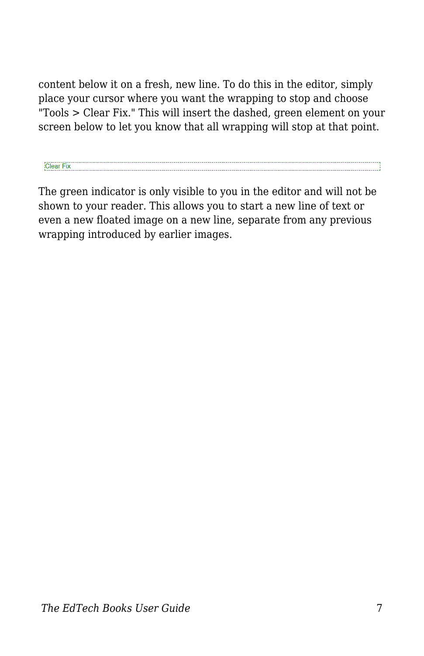content below it on a fresh, new line. To do this in the editor, simply place your cursor where you want the wrapping to stop and choose "Tools > Clear Fix." This will insert the dashed, green element on your screen below to let you know that all wrapping will stop at that point.

Clear Fix

The green indicator is only visible to you in the editor and will not be shown to your reader. This allows you to start a new line of text or even a new floated image on a new line, separate from any previous wrapping introduced by earlier images.